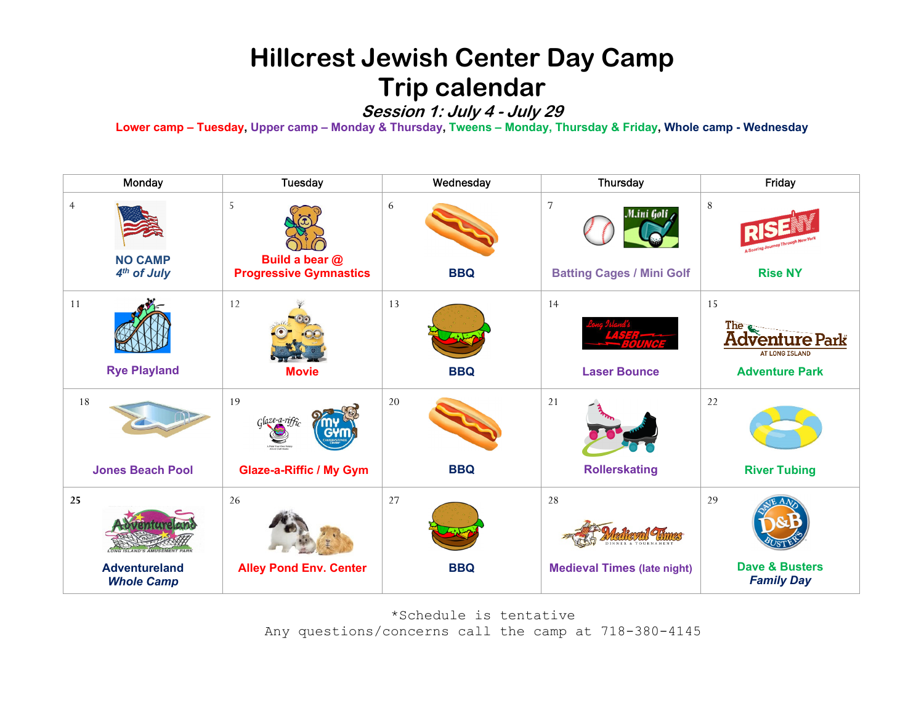## **Hillcrest Jewish Center Day Camp Trip calendar**

**Session 1: July 4 - July 29**

**Lower camp – Tuesday, Upper camp – Monday & Thursday, Tweens – Monday, Thursday & Friday, Whole camp - Wednesday**

| Monday                                                      | <b>Tuesday</b>                                            | Wednesday            | Thursday                                                         | Friday                                                                               |
|-------------------------------------------------------------|-----------------------------------------------------------|----------------------|------------------------------------------------------------------|--------------------------------------------------------------------------------------|
| $\overline{4}$<br><b>NO CAMP</b><br>4 <sup>th</sup> of July | 5<br>Build a bear @<br><b>Progressive Gymnastics</b>      | 6<br><b>BBQ</b>      | $\overline{7}$<br>M.ini Golf<br><b>Batting Cages / Mini Golf</b> | 8<br><b>Rise NY</b>                                                                  |
| 11<br><b>Rye Playland</b>                                   | 12<br><b>Movie</b>                                        | 13<br><b>BBQ</b>     | 14<br><b>Laser Bounce</b>                                        | 15<br><b>The</b><br><b>Adventure Park</b><br>AT LONG ISLAND<br><b>Adventure Park</b> |
| $18\,$<br><b>Jones Beach Pool</b>                           | 19<br>$G$ laze-a-riffi-<br><b>Glaze-a-Riffic / My Gym</b> | $20\,$<br><b>BBQ</b> | 21<br><b>Rollerskating</b>                                       | 22<br><b>River Tubing</b>                                                            |
|                                                             |                                                           |                      |                                                                  |                                                                                      |
| 25<br><b>Adventureland</b><br><b>Whole Camp</b>             | 26<br><b>Alley Pond Env. Center</b>                       | 27<br><b>BBQ</b>     | 28<br><b>Medieval Times (late night)</b>                         | 29<br><b>Dave &amp; Busters</b><br><b>Family Day</b>                                 |

\*Schedule is tentative Any questions/concerns call the camp at 718-380-4145